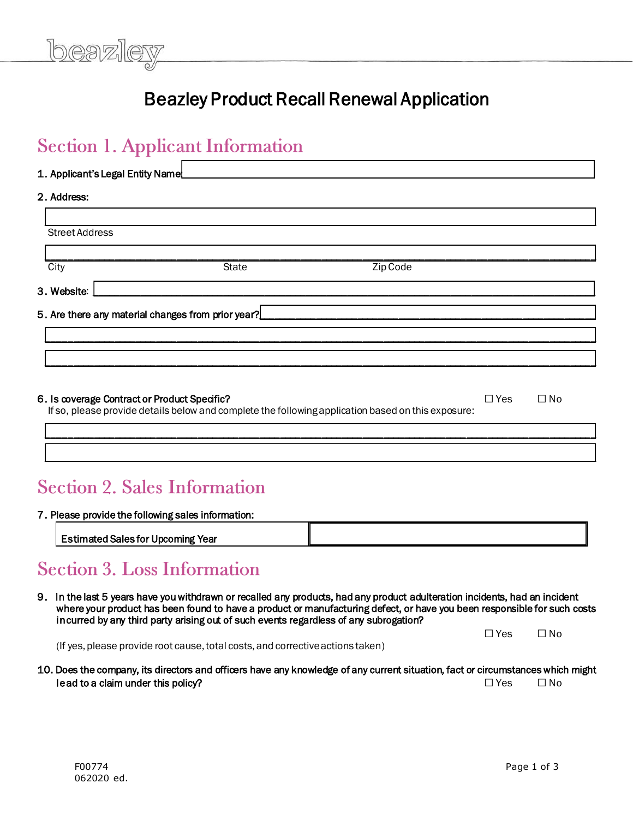

# Beazley Product Recall Renewal Application

# **Section 1. Applicant Information**

| 1. Applicant's Legal Entity Namel_ |                                                    |          |  |  |
|------------------------------------|----------------------------------------------------|----------|--|--|
| 2. Address:                        |                                                    |          |  |  |
| <b>Street Address</b>              |                                                    |          |  |  |
|                                    |                                                    |          |  |  |
| City                               | <b>State</b>                                       | Zip Code |  |  |
| 3. Website:                        |                                                    |          |  |  |
|                                    | 5. Are there any material changes from prior year? |          |  |  |
|                                    |                                                    |          |  |  |
|                                    |                                                    |          |  |  |
|                                    |                                                    |          |  |  |

| 6. Is coverage Contract or Product Specific?                                                       | $\Box$ Yes | $\Box$ No |  |
|----------------------------------------------------------------------------------------------------|------------|-----------|--|
| If so, please provide details below and complete the following application based on this exposure: |            |           |  |

\_\_\_\_\_\_\_\_\_\_\_\_\_\_\_\_\_\_\_\_\_\_\_\_\_\_\_\_\_\_\_\_\_\_\_\_\_\_\_\_\_\_\_\_\_\_\_\_\_\_\_\_\_\_\_\_\_\_\_\_\_\_\_\_\_\_\_\_\_\_\_\_\_\_\_\_\_\_\_\_\_\_\_\_\_\_\_\_\_\_\_\_\_\_\_\_\_\_\_\_\_\_\_\_\_\_

\_\_\_\_\_\_\_\_\_\_\_\_\_\_\_\_\_\_\_\_\_\_\_\_\_\_\_\_\_\_\_\_\_\_\_\_\_\_\_\_\_\_\_\_\_\_\_\_\_\_\_\_\_\_\_\_\_\_\_\_\_\_\_\_\_\_\_\_\_\_\_\_\_\_\_\_\_\_\_\_\_\_\_\_\_\_\_\_\_\_\_\_\_\_\_\_\_\_\_\_\_\_\_\_\_\_

# **Section 2. Sales Information**

#### 7. Please provide the following sales information:

| r<br>Year<br>.<br>.<br>---<br>s ror<br>sale:<br>mıng<br>⊺UDCOI.<br>. ын ет |  |
|----------------------------------------------------------------------------|--|

## **Section 3. Loss Information**

9. In the last 5 years have you withdrawn or recalled any products, had any product adulteration incidents, had an incident where your product has been found to have a product or manufacturing defect, or have you been responsible for such costs incurred by any third party arising out of such events regardless of any subrogation?

 $\Box$  Yes  $\Box$  No  $\Box$  Yes  $\Box$  No (If yes, please provide root cause, total costs, and corrective actions taken)

10. Does the company, its directors and officers have any knowledge of any current situation, fact or circumstances which might lead to a claim under this policy?  $\Box$  Yes  $\Box$  No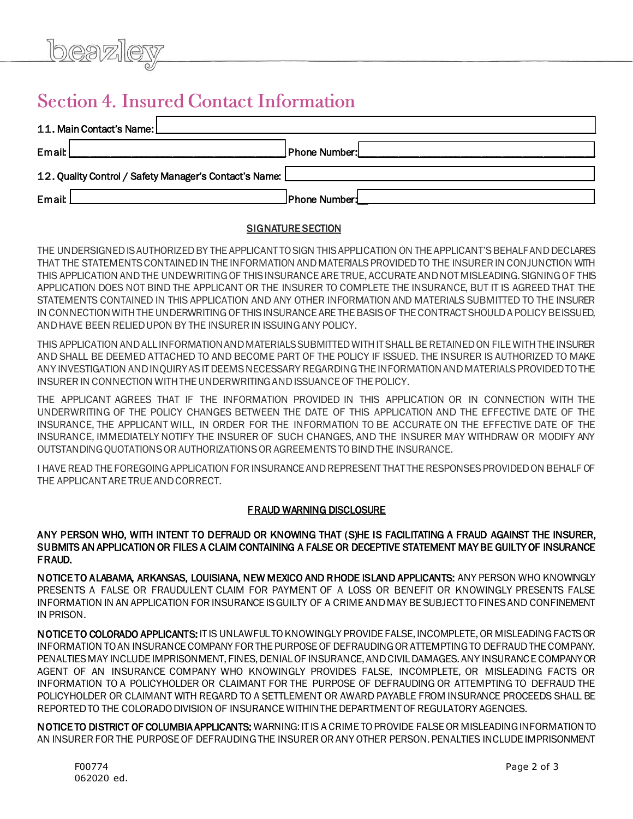# **Section 4. Insured Contact Information**

| 11. Main Contact's Name:                                 |               |  |  |  |
|----------------------------------------------------------|---------------|--|--|--|
| Email:                                                   | Phone Number: |  |  |  |
| 12. Quality Control / Safety Manager's Contact's Name: [ |               |  |  |  |
| Email:                                                   | Phone Number! |  |  |  |

## **SIGNATURE SECTION**

THE UNDERSIGNED IS AUTHORIZED BY THE APPLICANT TO SIGN THIS APPLICATION ON THE APPLICANT'S BEHALF AND DECLARES THAT THE STATEMENTS CONTAINED IN THE INFORMATION AND MATERIALS PROVIDED TO THE INSURER IN CONJUNCTION WITH THIS APPLICATION AND THE UNDEWRITING OF THIS INSURANCE ARE TRUE, ACCURATE AND NOT MISLEADING. SIGNING OF THIS APPLICATION DOES NOT BIND THE APPLICANT OR THE INSURER TO COMPLETE THE INSURANCE, BUT IT IS AGREED THAT THE STATEMENTS CONTAINED IN THIS APPLICATION AND ANY OTHER INFORMATION AND MATERIALS SUBMITTED TO THE INSURER IN CONNECTION WITH THE UNDERWRITING OF THIS INSURANCE ARE THE BASIS OF THE CONTRACT SHOULD A POLICY BE ISSUED, AND HAVE BEEN RELIED UPON BY THE INSURER IN ISSUING ANY POLICY.

THIS APPLICATION AND ALL INFORMATION AND MATERIALS SUBMITTED WITH IT SHALL BE RETAINED ON FILE WITH THE INSURER AND SHALL BE DEEMED ATTACHED TO AND BECOME PART OF THE POLICY IF ISSUED. THE INSURER IS AUTHORIZED TO MAKE ANY INVESTIGATION AND INQUIRY AS IT DEEMS NECESSARY REGARDING THE INFORMATION AND MATERIALS PROVIDED TO THE INSURER IN CONNECTION WITH THE UNDERWRITING AND ISSUANCE OF THE POLICY.

THE APPLICANT AGREES THAT IF THE INFORMATION PROVIDED IN THIS APPLICATION OR IN CONNECTION WITH THE UNDERWRITING OF THE POLICY CHANGES BETWEEN THE DATE OF THIS APPLICATION AND THE EFFECTIVE DATE OF THE INSURANCE, THE APPLICANT WILL, IN ORDER FOR THE INFORMATION TO BE ACCURATE ON THE EFFECTIVE DATE OF THE INSURANCE, IMMEDIATELY NOTIFY THE INSURER OF SUCH CHANGES, AND THE INSURER MAY WITHDRAW OR MODIFY ANY OUTSTANDING QUOTATIONS OR AUTHORIZATIONS OR AGREEMENTS TO BIND THE INSURANCE.

I HAVE READ THE FOREGOING APPLICATION FOR INSURANCE AND REPRESENT THAT THE RESPONSES PROVIDED ON BEHALF OF THE APPLICANT ARE TRUE AND CORRECT.

## FRAUD WARNING DISCLOSURE

### ANY PERSON WHO, WITH INTENT TO DEFRAUD OR KNOWING THAT (S)HE IS FACILITATING A FRAUD AGAINST THE INSURER, SUBMITS AN APPLICATION OR FILES A CLAIM CONTAINING A FALSE OR DECEPTIVE STATEMENT MAY BE GUILTY OF INSURANCE FRAUD.

NOTICE TO ALABAMA, ARKANSAS, LOUISIANA, NEW MEXICO AND RHODE ISLAND APPLICANTS: ANY PERSON WHO KNOWINGLY PRESENTS A FALSE OR FRAUDULENT CLAIM FOR PAYMENT OF A LOSS OR BENEFIT OR KNOWINGLY PRESENTS FALSE INFORMATION IN AN APPLICATION FOR INSURANCE IS GUILTY OF A CRIME AND MAY BE SUBJECT TO FINES AND CONFINEMENT IN PRISON.

NOTICE TO COLORADO APPLICANTS: IT IS UNLAWFUL TO KNOWINGLY PROVIDE FALSE, INCOMPLETE, OR MISLEADING FACTS OR INFORMATION TO AN INSURANCE COMPANY FOR THE PURPOSE OF DEFRAUDING OR ATTEMPTING TO DEFRAUD THE COMPANY. PENALTIES MAY INCLUDE IMPRISONMENT, FINES, DENIAL OF INSURANCE, AND CIVIL DAMAGES. ANY INSURANCE COMPANY OR AGENT OF AN INSURANCE COMPANY WHO KNOWINGLY PROVIDES FALSE, INCOMPLETE, OR MISLEADING FACTS OR INFORMATION TO A POLICYHOLDER OR CLAIMANT FOR THE PURPOSE OF DEFRAUDING OR ATTEMPTING TO DEFRAUD THE POLICYHOLDER OR CLAIMANT WITH REGARD TO A SETTLEMENT OR AWARD PAYABLE FROM INSURANCE PROCEEDS SHALL BE REPORTED TO THE COLORADO DIVISION OF INSURANCE WITHIN THE DEPARTMENT OF REGULATORY AGENCIES.

NOTICE TO DISTRICT OF COLUMBIA APPLICANTS: WARNING: IT IS A CRIME TO PROVIDE FALSE OR MISLEADING INFORMATION TO AN INSURER FOR THE PURPOSE OF DEFRAUDING THE INSURER OR ANY OTHER PERSON. PENALTIES INCLUDE IMPRISONMENT